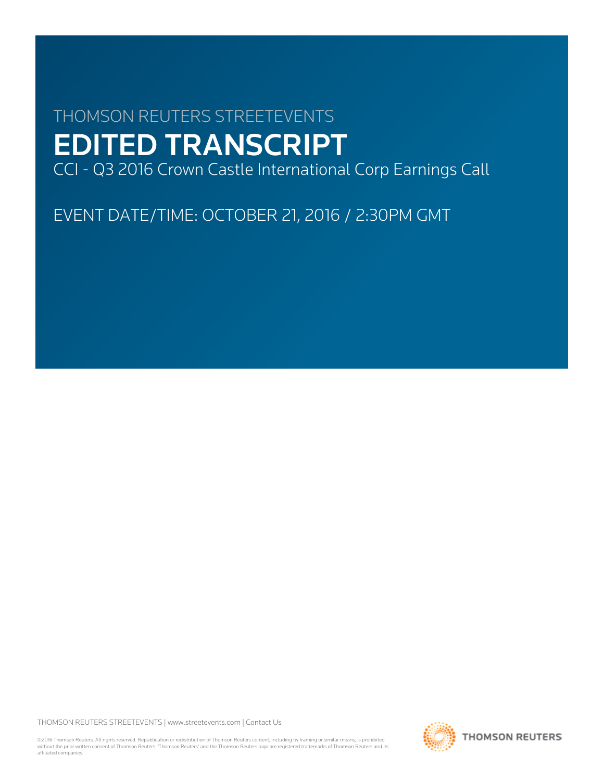# THOMSON REUTERS STREETEVENTS EDITED TRANSCRIPT

CCI - Q3 2016 Crown Castle International Corp Earnings Call

EVENT DATE/TIME: OCTOBER 21, 2016 / 2:30PM GMT

THOMSON REUTERS STREETEVENTS | [www.streetevents.com](http://www.streetevents.com) | [Contact Us](http://www010.streetevents.com/contact.asp)

©2016 Thomson Reuters. All rights reserved. Republication or redistribution of Thomson Reuters content, including by framing or similar means, is prohibited without the prior written consent of Thomson Reuters. 'Thomson Reuters' and the Thomson Reuters logo are registered trademarks of Thomson Reuters and its affiliated companies.

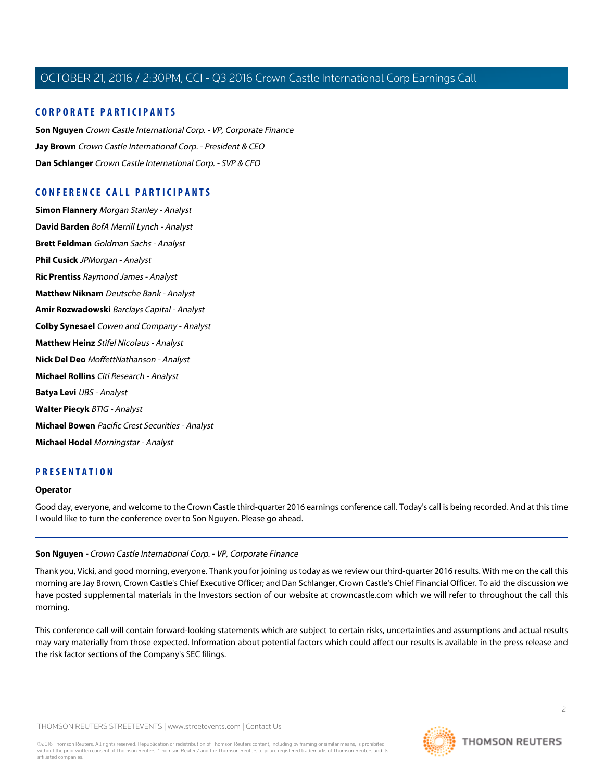# **CORPORATE PARTICIPANTS**

**[Son Nguyen](#page-1-0)** Crown Castle International Corp. - VP, Corporate Finance **[Jay Brown](#page-2-0)** Crown Castle International Corp. - President & CEO **[Dan Schlanger](#page-3-0)** Crown Castle International Corp. - SVP & CFO

# **CONFERENCE CALL PARTICIPANTS**

**[Simon Flannery](#page-5-0)** Morgan Stanley - Analyst **[David Barden](#page-6-0)** BofA Merrill Lynch - Analyst **[Brett Feldman](#page-7-0)** Goldman Sachs - Analyst **[Phil Cusick](#page-9-0)** JPMorgan - Analyst **[Ric Prentiss](#page-10-0)** Raymond James - Analyst **[Matthew Niknam](#page-11-0)** Deutsche Bank - Analyst **[Amir Rozwadowski](#page-13-0)** Barclays Capital - Analyst **[Colby Synesael](#page-14-0)** Cowen and Company - Analyst **[Matthew Heinz](#page-15-0)** Stifel Nicolaus - Analyst **[Nick Del Deo](#page-17-0)** MoffettNathanson - Analyst **[Michael Rollins](#page-18-0)** Citi Research - Analyst **[Batya Levi](#page-19-0)** UBS - Analyst **[Walter Piecyk](#page-20-0)** BTIG - Analyst **[Michael Bowen](#page-22-0)** Pacific Crest Securities - Analyst **[Michael Hodel](#page-23-0)** Morningstar - Analyst

# **PRESENTATION**

#### **Operator**

<span id="page-1-0"></span>Good day, everyone, and welcome to the Crown Castle third-quarter 2016 earnings conference call. Today's call is being recorded. And at this time I would like to turn the conference over to Son Nguyen. Please go ahead.

# **Son Nguyen** - Crown Castle International Corp. - VP, Corporate Finance

Thank you, Vicki, and good morning, everyone. Thank you for joining us today as we review our third-quarter 2016 results. With me on the call this morning are Jay Brown, Crown Castle's Chief Executive Officer; and Dan Schlanger, Crown Castle's Chief Financial Officer. To aid the discussion we have posted supplemental materials in the Investors section of our website at crowncastle.com which we will refer to throughout the call this morning.

This conference call will contain forward-looking statements which are subject to certain risks, uncertainties and assumptions and actual results may vary materially from those expected. Information about potential factors which could affect our results is available in the press release and the risk factor sections of the Company's SEC filings.

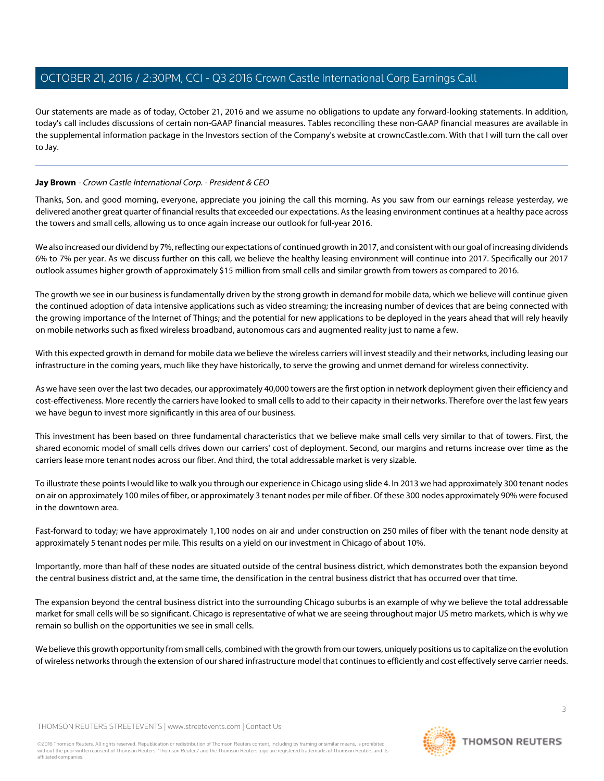Our statements are made as of today, October 21, 2016 and we assume no obligations to update any forward-looking statements. In addition, today's call includes discussions of certain non-GAAP financial measures. Tables reconciling these non-GAAP financial measures are available in the supplemental information package in the Investors section of the Company's website at crowncCastle.com. With that I will turn the call over to Jay.

# <span id="page-2-0"></span>**Jay Brown** - Crown Castle International Corp. - President & CEO

Thanks, Son, and good morning, everyone, appreciate you joining the call this morning. As you saw from our earnings release yesterday, we delivered another great quarter of financial results that exceeded our expectations. As the leasing environment continues at a healthy pace across the towers and small cells, allowing us to once again increase our outlook for full-year 2016.

We also increased our dividend by 7%, reflecting our expectations of continued growth in 2017, and consistent with our goal of increasing dividends 6% to 7% per year. As we discuss further on this call, we believe the healthy leasing environment will continue into 2017. Specifically our 2017 outlook assumes higher growth of approximately \$15 million from small cells and similar growth from towers as compared to 2016.

The growth we see in our business is fundamentally driven by the strong growth in demand for mobile data, which we believe will continue given the continued adoption of data intensive applications such as video streaming; the increasing number of devices that are being connected with the growing importance of the Internet of Things; and the potential for new applications to be deployed in the years ahead that will rely heavily on mobile networks such as fixed wireless broadband, autonomous cars and augmented reality just to name a few.

With this expected growth in demand for mobile data we believe the wireless carriers will invest steadily and their networks, including leasing our infrastructure in the coming years, much like they have historically, to serve the growing and unmet demand for wireless connectivity.

As we have seen over the last two decades, our approximately 40,000 towers are the first option in network deployment given their efficiency and cost-effectiveness. More recently the carriers have looked to small cells to add to their capacity in their networks. Therefore over the last few years we have begun to invest more significantly in this area of our business.

This investment has been based on three fundamental characteristics that we believe make small cells very similar to that of towers. First, the shared economic model of small cells drives down our carriers' cost of deployment. Second, our margins and returns increase over time as the carriers lease more tenant nodes across our fiber. And third, the total addressable market is very sizable.

To illustrate these points I would like to walk you through our experience in Chicago using slide 4. In 2013 we had approximately 300 tenant nodes on air on approximately 100 miles of fiber, or approximately 3 tenant nodes per mile of fiber. Of these 300 nodes approximately 90% were focused in the downtown area.

Fast-forward to today; we have approximately 1,100 nodes on air and under construction on 250 miles of fiber with the tenant node density at approximately 5 tenant nodes per mile. This results on a yield on our investment in Chicago of about 10%.

Importantly, more than half of these nodes are situated outside of the central business district, which demonstrates both the expansion beyond the central business district and, at the same time, the densification in the central business district that has occurred over that time.

The expansion beyond the central business district into the surrounding Chicago suburbs is an example of why we believe the total addressable market for small cells will be so significant. Chicago is representative of what we are seeing throughout major US metro markets, which is why we remain so bullish on the opportunities we see in small cells.

We believe this growth opportunity from small cells, combined with the growth from our towers, uniquely positions us to capitalize on the evolution of wireless networks through the extension of our shared infrastructure model that continues to efficiently and cost effectively serve carrier needs.

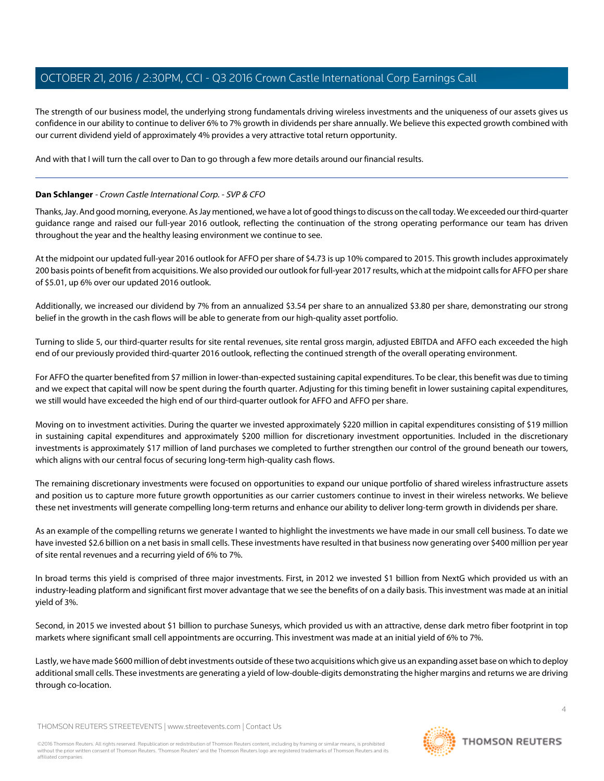The strength of our business model, the underlying strong fundamentals driving wireless investments and the uniqueness of our assets gives us confidence in our ability to continue to deliver 6% to 7% growth in dividends per share annually. We believe this expected growth combined with our current dividend yield of approximately 4% provides a very attractive total return opportunity.

<span id="page-3-0"></span>And with that I will turn the call over to Dan to go through a few more details around our financial results.

# **Dan Schlanger** - Crown Castle International Corp. - SVP & CFO

Thanks, Jay. And good morning, everyone. As Jay mentioned, we have a lot of good things to discuss on the call today. We exceeded our third-quarter guidance range and raised our full-year 2016 outlook, reflecting the continuation of the strong operating performance our team has driven throughout the year and the healthy leasing environment we continue to see.

At the midpoint our updated full-year 2016 outlook for AFFO per share of \$4.73 is up 10% compared to 2015. This growth includes approximately 200 basis points of benefit from acquisitions. We also provided our outlook for full-year 2017 results, which at the midpoint calls for AFFO per share of \$5.01, up 6% over our updated 2016 outlook.

Additionally, we increased our dividend by 7% from an annualized \$3.54 per share to an annualized \$3.80 per share, demonstrating our strong belief in the growth in the cash flows will be able to generate from our high-quality asset portfolio.

Turning to slide 5, our third-quarter results for site rental revenues, site rental gross margin, adjusted EBITDA and AFFO each exceeded the high end of our previously provided third-quarter 2016 outlook, reflecting the continued strength of the overall operating environment.

For AFFO the quarter benefited from \$7 million in lower-than-expected sustaining capital expenditures. To be clear, this benefit was due to timing and we expect that capital will now be spent during the fourth quarter. Adjusting for this timing benefit in lower sustaining capital expenditures, we still would have exceeded the high end of our third-quarter outlook for AFFO and AFFO per share.

Moving on to investment activities. During the quarter we invested approximately \$220 million in capital expenditures consisting of \$19 million in sustaining capital expenditures and approximately \$200 million for discretionary investment opportunities. Included in the discretionary investments is approximately \$17 million of land purchases we completed to further strengthen our control of the ground beneath our towers, which aligns with our central focus of securing long-term high-quality cash flows.

The remaining discretionary investments were focused on opportunities to expand our unique portfolio of shared wireless infrastructure assets and position us to capture more future growth opportunities as our carrier customers continue to invest in their wireless networks. We believe these net investments will generate compelling long-term returns and enhance our ability to deliver long-term growth in dividends per share.

As an example of the compelling returns we generate I wanted to highlight the investments we have made in our small cell business. To date we have invested \$2.6 billion on a net basis in small cells. These investments have resulted in that business now generating over \$400 million per year of site rental revenues and a recurring yield of 6% to 7%.

In broad terms this yield is comprised of three major investments. First, in 2012 we invested \$1 billion from NextG which provided us with an industry-leading platform and significant first mover advantage that we see the benefits of on a daily basis. This investment was made at an initial yield of 3%.

Second, in 2015 we invested about \$1 billion to purchase Sunesys, which provided us with an attractive, dense dark metro fiber footprint in top markets where significant small cell appointments are occurring. This investment was made at an initial yield of 6% to 7%.

Lastly, we have made \$600 million of debt investments outside of these two acquisitions which give us an expanding asset base on which to deploy additional small cells. These investments are generating a yield of low-double-digits demonstrating the higher margins and returns we are driving through co-location.

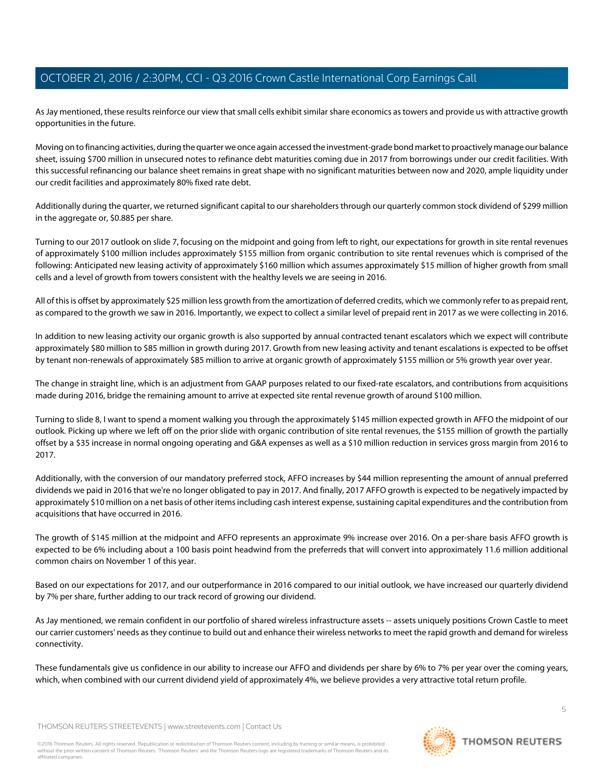As Jay mentioned, these results reinforce our view that small cells exhibit similar share economics as towers and provide us with attractive growth opportunities in the future.

Moving on to financing activities, during the quarter we once again accessed the investment-grade bond market to proactively manage our balance sheet, issuing \$700 million in unsecured notes to refinance debt maturities coming due in 2017 from borrowings under our credit facilities. With this successful refinancing our balance sheet remains in great shape with no significant maturities between now and 2020, ample liquidity under our credit facilities and approximately 80% fixed rate debt.

Additionally during the quarter, we returned significant capital to our shareholders through our quarterly common stock dividend of \$299 million in the aggregate or, \$0.885 per share.

Turning to our 2017 outlook on slide 7, focusing on the midpoint and going from left to right, our expectations for growth in site rental revenues of approximately \$100 million includes approximately \$155 million from organic contribution to site rental revenues which is comprised of the following: Anticipated new leasing activity of approximately \$160 million which assumes approximately \$15 million of higher growth from small cells and a level of growth from towers consistent with the healthy levels we are seeing in 2016.

All of this is offset by approximately \$25 million less growth from the amortization of deferred credits, which we commonly refer to as prepaid rent, as compared to the growth we saw in 2016. Importantly, we expect to collect a similar level of prepaid rent in 2017 as we were collecting in 2016.

In addition to new leasing activity our organic growth is also supported by annual contracted tenant escalators which we expect will contribute approximately \$80 million to \$85 million in growth during 2017. Growth from new leasing activity and tenant escalations is expected to be offset by tenant non-renewals of approximately \$85 million to arrive at organic growth of approximately \$155 million or 5% growth year over year.

The change in straight line, which is an adjustment from GAAP purposes related to our fixed-rate escalators, and contributions from acquisitions made during 2016, bridge the remaining amount to arrive at expected site rental revenue growth of around \$100 million.

Turning to slide 8, I want to spend a moment walking you through the approximately \$145 million expected growth in AFFO the midpoint of our outlook. Picking up where we left off on the prior slide with organic contribution of site rental revenues, the \$155 million of growth the partially offset by a \$35 increase in normal ongoing operating and G&A expenses as well as a \$10 million reduction in services gross margin from 2016 to 2017.

Additionally, with the conversion of our mandatory preferred stock, AFFO increases by \$44 million representing the amount of annual preferred dividends we paid in 2016 that we're no longer obligated to pay in 2017. And finally, 2017 AFFO growth is expected to be negatively impacted by approximately \$10 million on a net basis of other items including cash interest expense, sustaining capital expenditures and the contribution from acquisitions that have occurred in 2016.

The growth of \$145 million at the midpoint and AFFO represents an approximate 9% increase over 2016. On a per-share basis AFFO growth is expected to be 6% including about a 100 basis point headwind from the preferreds that will convert into approximately 11.6 million additional common chairs on November 1 of this year.

Based on our expectations for 2017, and our outperformance in 2016 compared to our initial outlook, we have increased our quarterly dividend by 7% per share, further adding to our track record of growing our dividend.

As Jay mentioned, we remain confident in our portfolio of shared wireless infrastructure assets -- assets uniquely positions Crown Castle to meet our carrier customers' needs as they continue to build out and enhance their wireless networks to meet the rapid growth and demand for wireless connectivity.

These fundamentals give us confidence in our ability to increase our AFFO and dividends per share by 6% to 7% per year over the coming years, which, when combined with our current dividend yield of approximately 4%, we believe provides a very attractive total return profile.

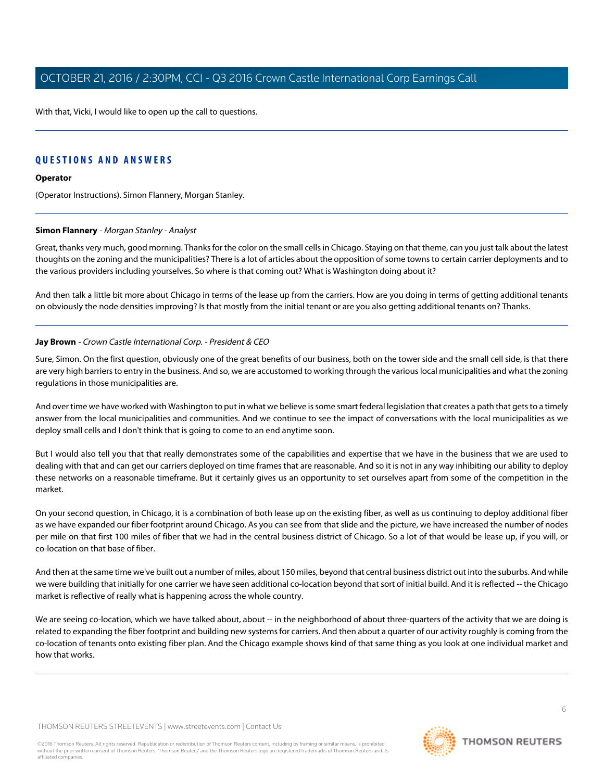With that, Vicki, I would like to open up the call to questions.

# **QUESTIONS AND ANSWERS**

#### **Operator**

<span id="page-5-0"></span>(Operator Instructions). Simon Flannery, Morgan Stanley.

## **Simon Flannery** - Morgan Stanley - Analyst

Great, thanks very much, good morning. Thanks for the color on the small cells in Chicago. Staying on that theme, can you just talk about the latest thoughts on the zoning and the municipalities? There is a lot of articles about the opposition of some towns to certain carrier deployments and to the various providers including yourselves. So where is that coming out? What is Washington doing about it?

And then talk a little bit more about Chicago in terms of the lease up from the carriers. How are you doing in terms of getting additional tenants on obviously the node densities improving? Is that mostly from the initial tenant or are you also getting additional tenants on? Thanks.

## **Jay Brown** - Crown Castle International Corp. - President & CEO

Sure, Simon. On the first question, obviously one of the great benefits of our business, both on the tower side and the small cell side, is that there are very high barriers to entry in the business. And so, we are accustomed to working through the various local municipalities and what the zoning regulations in those municipalities are.

And over time we have worked with Washington to put in what we believe is some smart federal legislation that creates a path that gets to a timely answer from the local municipalities and communities. And we continue to see the impact of conversations with the local municipalities as we deploy small cells and I don't think that is going to come to an end anytime soon.

But I would also tell you that that really demonstrates some of the capabilities and expertise that we have in the business that we are used to dealing with that and can get our carriers deployed on time frames that are reasonable. And so it is not in any way inhibiting our ability to deploy these networks on a reasonable timeframe. But it certainly gives us an opportunity to set ourselves apart from some of the competition in the market.

On your second question, in Chicago, it is a combination of both lease up on the existing fiber, as well as us continuing to deploy additional fiber as we have expanded our fiber footprint around Chicago. As you can see from that slide and the picture, we have increased the number of nodes per mile on that first 100 miles of fiber that we had in the central business district of Chicago. So a lot of that would be lease up, if you will, or co-location on that base of fiber.

And then at the same time we've built out a number of miles, about 150 miles, beyond that central business district out into the suburbs. And while we were building that initially for one carrier we have seen additional co-location beyond that sort of initial build. And it is reflected -- the Chicago market is reflective of really what is happening across the whole country.

We are seeing co-location, which we have talked about, about -- in the neighborhood of about three-quarters of the activity that we are doing is related to expanding the fiber footprint and building new systems for carriers. And then about a quarter of our activity roughly is coming from the co-location of tenants onto existing fiber plan. And the Chicago example shows kind of that same thing as you look at one individual market and how that works.

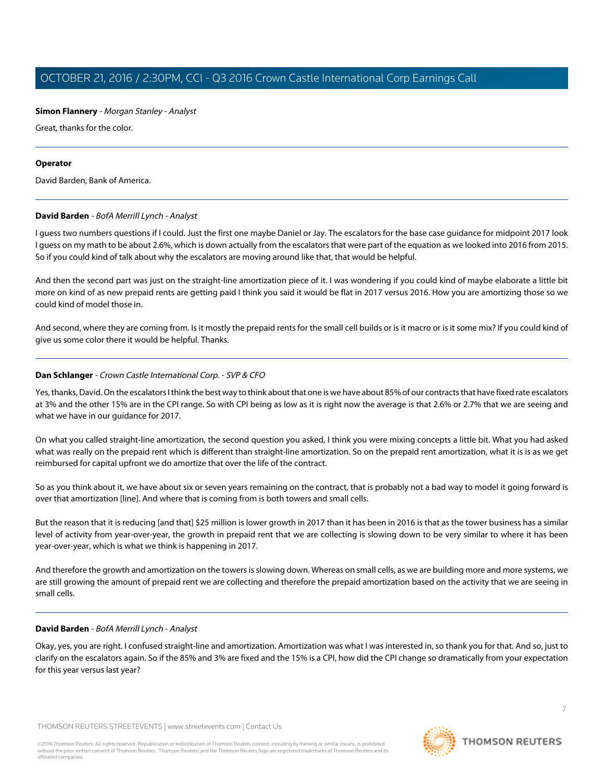# **Simon Flannery** - Morgan Stanley - Analyst

Great, thanks for the color.

## **Operator**

<span id="page-6-0"></span>David Barden, Bank of America.

# **David Barden** - BofA Merrill Lynch - Analyst

I guess two numbers questions if I could. Just the first one maybe Daniel or Jay. The escalators for the base case guidance for midpoint 2017 look I guess on my math to be about 2.6%, which is down actually from the escalators that were part of the equation as we looked into 2016 from 2015. So if you could kind of talk about why the escalators are moving around like that, that would be helpful.

And then the second part was just on the straight-line amortization piece of it. I was wondering if you could kind of maybe elaborate a little bit more on kind of as new prepaid rents are getting paid I think you said it would be flat in 2017 versus 2016. How you are amortizing those so we could kind of model those in.

And second, where they are coming from. Is it mostly the prepaid rents for the small cell builds or is it macro or is it some mix? If you could kind of give us some color there it would be helpful. Thanks.

# **Dan Schlanger** - Crown Castle International Corp. - SVP & CFO

Yes, thanks, David. On the escalators I think the best way to think about that one is we have about 85% of our contracts that have fixed rate escalators at 3% and the other 15% are in the CPI range. So with CPI being as low as it is right now the average is that 2.6% or 2.7% that we are seeing and what we have in our guidance for 2017.

On what you called straight-line amortization, the second question you asked, I think you were mixing concepts a little bit. What you had asked what was really on the prepaid rent which is different than straight-line amortization. So on the prepaid rent amortization, what it is is as we get reimbursed for capital upfront we do amortize that over the life of the contract.

So as you think about it, we have about six or seven years remaining on the contract, that is probably not a bad way to model it going forward is over that amortization [line]. And where that is coming from is both towers and small cells.

But the reason that it is reducing [and that] \$25 million is lower growth in 2017 than it has been in 2016 is that as the tower business has a similar level of activity from year-over-year, the growth in prepaid rent that we are collecting is slowing down to be very similar to where it has been year-over-year, which is what we think is happening in 2017.

And therefore the growth and amortization on the towers is slowing down. Whereas on small cells, as we are building more and more systems, we are still growing the amount of prepaid rent we are collecting and therefore the prepaid amortization based on the activity that we are seeing in small cells.

# **David Barden** - BofA Merrill Lynch - Analyst

Okay, yes, you are right. I confused straight-line and amortization. Amortization was what I was interested in, so thank you for that. And so, just to clarify on the escalators again. So if the 85% and 3% are fixed and the 15% is a CPI, how did the CPI change so dramatically from your expectation for this year versus last year?

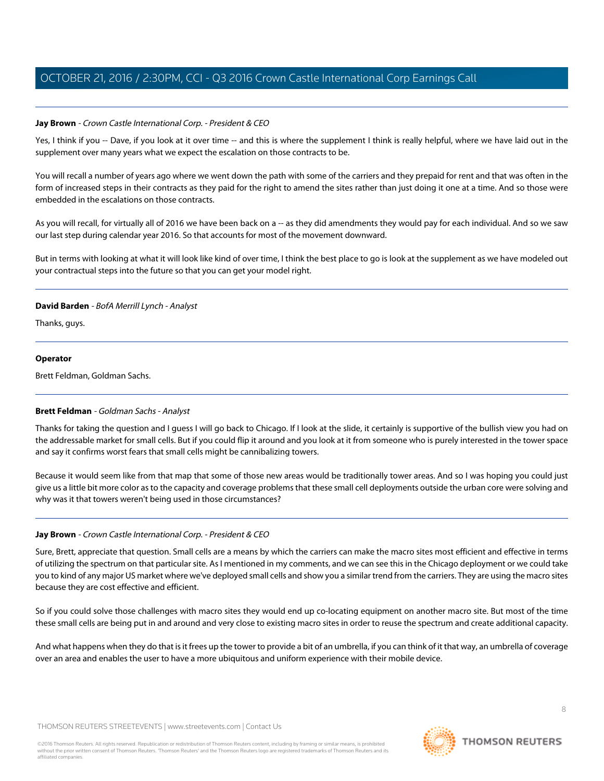## **Jay Brown** - Crown Castle International Corp. - President & CEO

Yes, I think if you -- Dave, if you look at it over time -- and this is where the supplement I think is really helpful, where we have laid out in the supplement over many years what we expect the escalation on those contracts to be.

You will recall a number of years ago where we went down the path with some of the carriers and they prepaid for rent and that was often in the form of increased steps in their contracts as they paid for the right to amend the sites rather than just doing it one at a time. And so those were embedded in the escalations on those contracts.

As you will recall, for virtually all of 2016 we have been back on a -- as they did amendments they would pay for each individual. And so we saw our last step during calendar year 2016. So that accounts for most of the movement downward.

But in terms with looking at what it will look like kind of over time, I think the best place to go is look at the supplement as we have modeled out your contractual steps into the future so that you can get your model right.

## **David Barden** - BofA Merrill Lynch - Analyst

Thanks, guys.

#### **Operator**

<span id="page-7-0"></span>Brett Feldman, Goldman Sachs.

#### **Brett Feldman** - Goldman Sachs - Analyst

Thanks for taking the question and I guess I will go back to Chicago. If I look at the slide, it certainly is supportive of the bullish view you had on the addressable market for small cells. But if you could flip it around and you look at it from someone who is purely interested in the tower space and say it confirms worst fears that small cells might be cannibalizing towers.

Because it would seem like from that map that some of those new areas would be traditionally tower areas. And so I was hoping you could just give us a little bit more color as to the capacity and coverage problems that these small cell deployments outside the urban core were solving and why was it that towers weren't being used in those circumstances?

# **Jay Brown** - Crown Castle International Corp. - President & CEO

Sure, Brett, appreciate that question. Small cells are a means by which the carriers can make the macro sites most efficient and effective in terms of utilizing the spectrum on that particular site. As I mentioned in my comments, and we can see this in the Chicago deployment or we could take you to kind of any major US market where we've deployed small cells and show you a similar trend from the carriers. They are using the macro sites because they are cost effective and efficient.

So if you could solve those challenges with macro sites they would end up co-locating equipment on another macro site. But most of the time these small cells are being put in and around and very close to existing macro sites in order to reuse the spectrum and create additional capacity.

And what happens when they do that is it frees up the tower to provide a bit of an umbrella, if you can think of it that way, an umbrella of coverage over an area and enables the user to have a more ubiquitous and uniform experience with their mobile device.

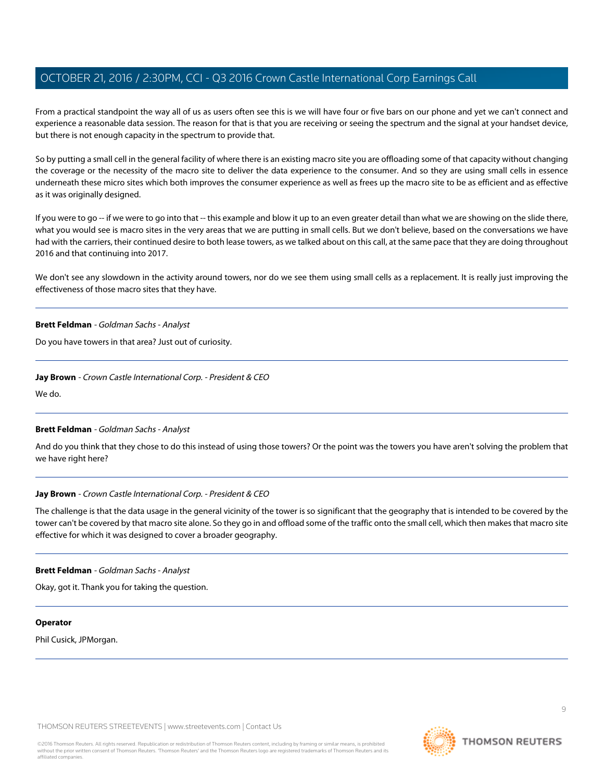From a practical standpoint the way all of us as users often see this is we will have four or five bars on our phone and yet we can't connect and experience a reasonable data session. The reason for that is that you are receiving or seeing the spectrum and the signal at your handset device, but there is not enough capacity in the spectrum to provide that.

So by putting a small cell in the general facility of where there is an existing macro site you are offloading some of that capacity without changing the coverage or the necessity of the macro site to deliver the data experience to the consumer. And so they are using small cells in essence underneath these micro sites which both improves the consumer experience as well as frees up the macro site to be as efficient and as effective as it was originally designed.

If you were to go -- if we were to go into that -- this example and blow it up to an even greater detail than what we are showing on the slide there, what you would see is macro sites in the very areas that we are putting in small cells. But we don't believe, based on the conversations we have had with the carriers, their continued desire to both lease towers, as we talked about on this call, at the same pace that they are doing throughout 2016 and that continuing into 2017.

We don't see any slowdown in the activity around towers, nor do we see them using small cells as a replacement. It is really just improving the effectiveness of those macro sites that they have.

#### **Brett Feldman** - Goldman Sachs - Analyst

Do you have towers in that area? Just out of curiosity.

#### **Jay Brown** - Crown Castle International Corp. - President & CEO

We do.

#### **Brett Feldman** - Goldman Sachs - Analyst

And do you think that they chose to do this instead of using those towers? Or the point was the towers you have aren't solving the problem that we have right here?

#### **Jay Brown** - Crown Castle International Corp. - President & CEO

The challenge is that the data usage in the general vicinity of the tower is so significant that the geography that is intended to be covered by the tower can't be covered by that macro site alone. So they go in and offload some of the traffic onto the small cell, which then makes that macro site effective for which it was designed to cover a broader geography.

#### **Brett Feldman** - Goldman Sachs - Analyst

Okay, got it. Thank you for taking the question.

#### **Operator**

Phil Cusick, JPMorgan.

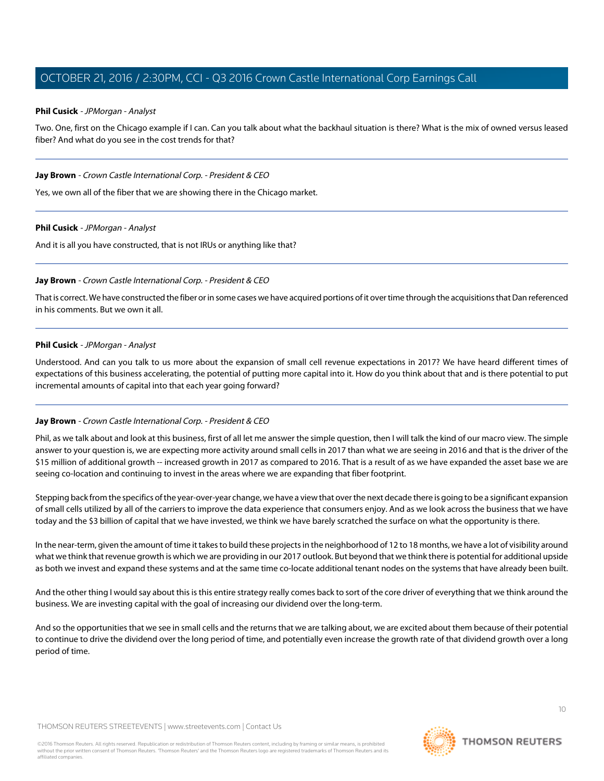## <span id="page-9-0"></span>**Phil Cusick** - JPMorgan - Analyst

Two. One, first on the Chicago example if I can. Can you talk about what the backhaul situation is there? What is the mix of owned versus leased fiber? And what do you see in the cost trends for that?

#### **Jay Brown** - Crown Castle International Corp. - President & CEO

Yes, we own all of the fiber that we are showing there in the Chicago market.

#### **Phil Cusick** - JPMorgan - Analyst

And it is all you have constructed, that is not IRUs or anything like that?

## **Jay Brown** - Crown Castle International Corp. - President & CEO

That is correct. We have constructed the fiber or in some cases we have acquired portions of it over time through the acquisitions that Dan referenced in his comments. But we own it all.

## **Phil Cusick** - JPMorgan - Analyst

Understood. And can you talk to us more about the expansion of small cell revenue expectations in 2017? We have heard different times of expectations of this business accelerating, the potential of putting more capital into it. How do you think about that and is there potential to put incremental amounts of capital into that each year going forward?

# **Jay Brown** - Crown Castle International Corp. - President & CEO

Phil, as we talk about and look at this business, first of all let me answer the simple question, then I will talk the kind of our macro view. The simple answer to your question is, we are expecting more activity around small cells in 2017 than what we are seeing in 2016 and that is the driver of the \$15 million of additional growth -- increased growth in 2017 as compared to 2016. That is a result of as we have expanded the asset base we are seeing co-location and continuing to invest in the areas where we are expanding that fiber footprint.

Stepping back from the specifics of the year-over-year change, we have a view that over the next decade there is going to be a significant expansion of small cells utilized by all of the carriers to improve the data experience that consumers enjoy. And as we look across the business that we have today and the \$3 billion of capital that we have invested, we think we have barely scratched the surface on what the opportunity is there.

In the near-term, given the amount of time it takes to build these projects in the neighborhood of 12 to 18 months, we have a lot of visibility around what we think that revenue growth is which we are providing in our 2017 outlook. But beyond that we think there is potential for additional upside as both we invest and expand these systems and at the same time co-locate additional tenant nodes on the systems that have already been built.

And the other thing I would say about this is this entire strategy really comes back to sort of the core driver of everything that we think around the business. We are investing capital with the goal of increasing our dividend over the long-term.

And so the opportunities that we see in small cells and the returns that we are talking about, we are excited about them because of their potential to continue to drive the dividend over the long period of time, and potentially even increase the growth rate of that dividend growth over a long period of time.

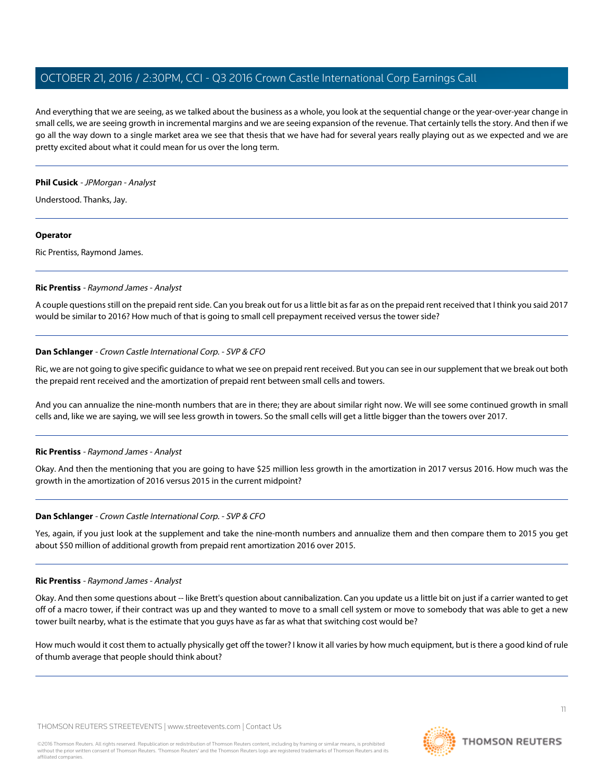And everything that we are seeing, as we talked about the business as a whole, you look at the sequential change or the year-over-year change in small cells, we are seeing growth in incremental margins and we are seeing expansion of the revenue. That certainly tells the story. And then if we go all the way down to a single market area we see that thesis that we have had for several years really playing out as we expected and we are pretty excited about what it could mean for us over the long term.

#### **Phil Cusick** - JPMorgan - Analyst

Understood. Thanks, Jay.

## **Operator**

<span id="page-10-0"></span>Ric Prentiss, Raymond James.

# **Ric Prentiss** - Raymond James - Analyst

A couple questions still on the prepaid rent side. Can you break out for us a little bit as far as on the prepaid rent received that I think you said 2017 would be similar to 2016? How much of that is going to small cell prepayment received versus the tower side?

# **Dan Schlanger** - Crown Castle International Corp. - SVP & CFO

Ric, we are not going to give specific guidance to what we see on prepaid rent received. But you can see in our supplement that we break out both the prepaid rent received and the amortization of prepaid rent between small cells and towers.

And you can annualize the nine-month numbers that are in there; they are about similar right now. We will see some continued growth in small cells and, like we are saying, we will see less growth in towers. So the small cells will get a little bigger than the towers over 2017.

# **Ric Prentiss** - Raymond James - Analyst

Okay. And then the mentioning that you are going to have \$25 million less growth in the amortization in 2017 versus 2016. How much was the growth in the amortization of 2016 versus 2015 in the current midpoint?

# **Dan Schlanger** - Crown Castle International Corp. - SVP & CFO

Yes, again, if you just look at the supplement and take the nine-month numbers and annualize them and then compare them to 2015 you get about \$50 million of additional growth from prepaid rent amortization 2016 over 2015.

# **Ric Prentiss** - Raymond James - Analyst

Okay. And then some questions about -- like Brett's question about cannibalization. Can you update us a little bit on just if a carrier wanted to get off of a macro tower, if their contract was up and they wanted to move to a small cell system or move to somebody that was able to get a new tower built nearby, what is the estimate that you guys have as far as what that switching cost would be?

How much would it cost them to actually physically get off the tower? I know it all varies by how much equipment, but is there a good kind of rule of thumb average that people should think about?

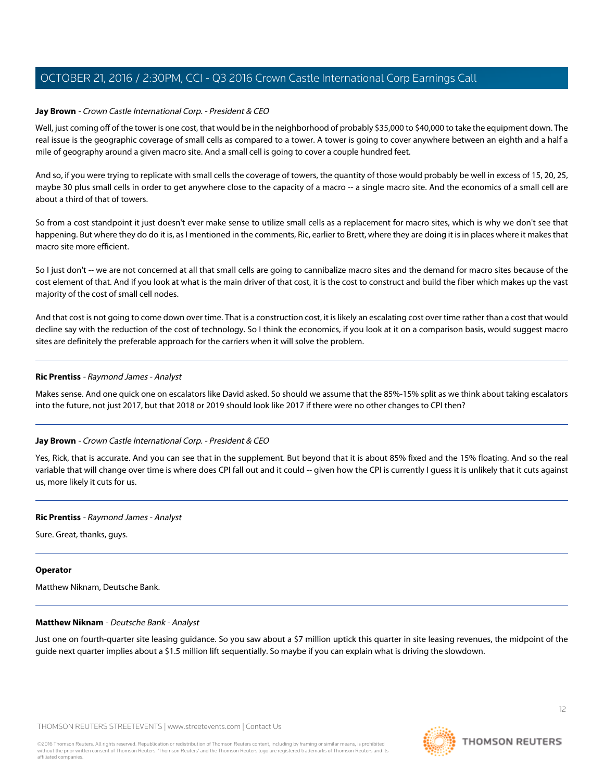## **Jay Brown** - Crown Castle International Corp. - President & CEO

Well, just coming off of the tower is one cost, that would be in the neighborhood of probably \$35,000 to \$40,000 to take the equipment down. The real issue is the geographic coverage of small cells as compared to a tower. A tower is going to cover anywhere between an eighth and a half a mile of geography around a given macro site. And a small cell is going to cover a couple hundred feet.

And so, if you were trying to replicate with small cells the coverage of towers, the quantity of those would probably be well in excess of 15, 20, 25, maybe 30 plus small cells in order to get anywhere close to the capacity of a macro -- a single macro site. And the economics of a small cell are about a third of that of towers.

So from a cost standpoint it just doesn't ever make sense to utilize small cells as a replacement for macro sites, which is why we don't see that happening. But where they do do it is, as I mentioned in the comments, Ric, earlier to Brett, where they are doing it is in places where it makes that macro site more efficient.

So I just don't -- we are not concerned at all that small cells are going to cannibalize macro sites and the demand for macro sites because of the cost element of that. And if you look at what is the main driver of that cost, it is the cost to construct and build the fiber which makes up the vast majority of the cost of small cell nodes.

And that cost is not going to come down over time. That is a construction cost, it is likely an escalating cost over time rather than a cost that would decline say with the reduction of the cost of technology. So I think the economics, if you look at it on a comparison basis, would suggest macro sites are definitely the preferable approach for the carriers when it will solve the problem.

#### **Ric Prentiss** - Raymond James - Analyst

Makes sense. And one quick one on escalators like David asked. So should we assume that the 85%-15% split as we think about taking escalators into the future, not just 2017, but that 2018 or 2019 should look like 2017 if there were no other changes to CPI then?

#### **Jay Brown** - Crown Castle International Corp. - President & CEO

Yes, Rick, that is accurate. And you can see that in the supplement. But beyond that it is about 85% fixed and the 15% floating. And so the real variable that will change over time is where does CPI fall out and it could -- given how the CPI is currently I guess it is unlikely that it cuts against us, more likely it cuts for us.

#### **Ric Prentiss** - Raymond James - Analyst

Sure. Great, thanks, guys.

#### <span id="page-11-0"></span>**Operator**

Matthew Niknam, Deutsche Bank.

#### **Matthew Niknam** - Deutsche Bank - Analyst

Just one on fourth-quarter site leasing guidance. So you saw about a \$7 million uptick this quarter in site leasing revenues, the midpoint of the guide next quarter implies about a \$1.5 million lift sequentially. So maybe if you can explain what is driving the slowdown.

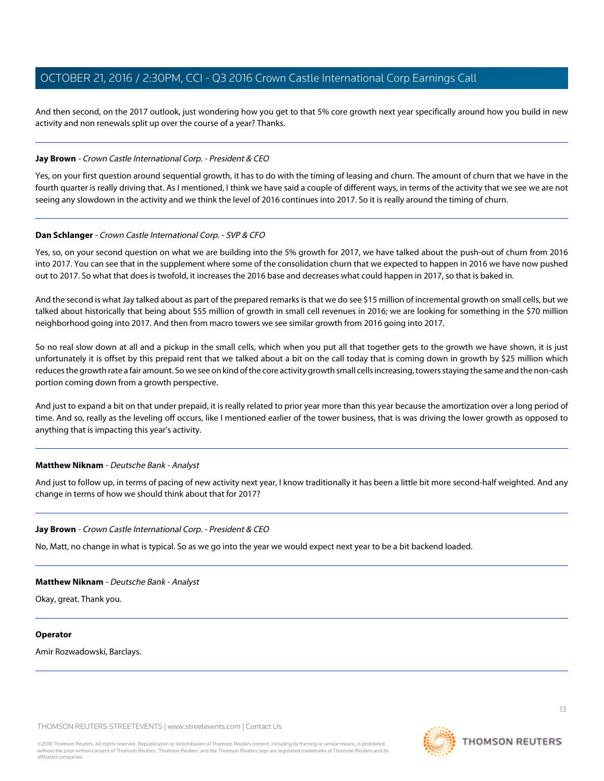And then second, on the 2017 outlook, just wondering how you get to that 5% core growth next year specifically around how you build in new activity and non renewals split up over the course of a year? Thanks.

## **Jay Brown** - Crown Castle International Corp. - President & CEO

Yes, on your first question around sequential growth, it has to do with the timing of leasing and churn. The amount of churn that we have in the fourth quarter is really driving that. As I mentioned, I think we have said a couple of different ways, in terms of the activity that we see we are not seeing any slowdown in the activity and we think the level of 2016 continues into 2017. So it is really around the timing of churn.

#### **Dan Schlanger** - Crown Castle International Corp. - SVP & CFO

Yes, so, on your second question on what we are building into the 5% growth for 2017, we have talked about the push-out of churn from 2016 into 2017. You can see that in the supplement where some of the consolidation churn that we expected to happen in 2016 we have now pushed out to 2017. So what that does is twofold, it increases the 2016 base and decreases what could happen in 2017, so that is baked in.

And the second is what Jay talked about as part of the prepared remarks is that we do see \$15 million of incremental growth on small cells, but we talked about historically that being about \$55 million of growth in small cell revenues in 2016; we are looking for something in the \$70 million neighborhood going into 2017. And then from macro towers we see similar growth from 2016 going into 2017.

So no real slow down at all and a pickup in the small cells, which when you put all that together gets to the growth we have shown, it is just unfortunately it is offset by this prepaid rent that we talked about a bit on the call today that is coming down in growth by \$25 million which reduces the growth rate a fair amount. So we see on kind of the core activity growth small cells increasing, towers staying the same and the non-cash portion coming down from a growth perspective.

And just to expand a bit on that under prepaid, it is really related to prior year more than this year because the amortization over a long period of time. And so, really as the leveling off occurs, like I mentioned earlier of the tower business, that is was driving the lower growth as opposed to anything that is impacting this year's activity.

# **Matthew Niknam** - Deutsche Bank - Analyst

And just to follow up, in terms of pacing of new activity next year, I know traditionally it has been a little bit more second-half weighted. And any change in terms of how we should think about that for 2017?

# **Jay Brown** - Crown Castle International Corp. - President & CEO

No, Matt, no change in what is typical. So as we go into the year we would expect next year to be a bit backend loaded.

#### **Matthew Niknam** - Deutsche Bank - Analyst

Okay, great. Thank you.

#### **Operator**

Amir Rozwadowski, Barclays.

THOMSON REUTERS STREETEVENTS | [www.streetevents.com](http://www.streetevents.com) | [Contact Us](http://www010.streetevents.com/contact.asp)

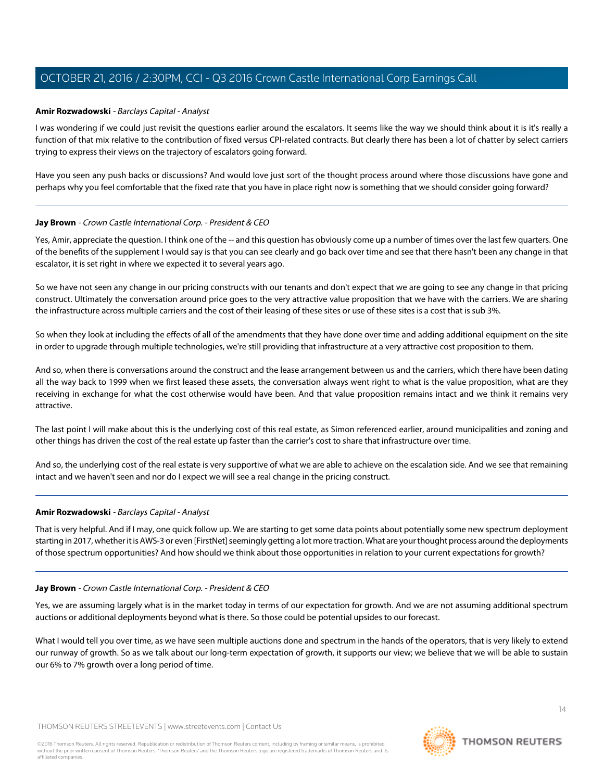## <span id="page-13-0"></span>**Amir Rozwadowski** - Barclays Capital - Analyst

I was wondering if we could just revisit the questions earlier around the escalators. It seems like the way we should think about it is it's really a function of that mix relative to the contribution of fixed versus CPI-related contracts. But clearly there has been a lot of chatter by select carriers trying to express their views on the trajectory of escalators going forward.

Have you seen any push backs or discussions? And would love just sort of the thought process around where those discussions have gone and perhaps why you feel comfortable that the fixed rate that you have in place right now is something that we should consider going forward?

## **Jay Brown** - Crown Castle International Corp. - President & CEO

Yes, Amir, appreciate the question. I think one of the -- and this question has obviously come up a number of times over the last few quarters. One of the benefits of the supplement I would say is that you can see clearly and go back over time and see that there hasn't been any change in that escalator, it is set right in where we expected it to several years ago.

So we have not seen any change in our pricing constructs with our tenants and don't expect that we are going to see any change in that pricing construct. Ultimately the conversation around price goes to the very attractive value proposition that we have with the carriers. We are sharing the infrastructure across multiple carriers and the cost of their leasing of these sites or use of these sites is a cost that is sub 3%.

So when they look at including the effects of all of the amendments that they have done over time and adding additional equipment on the site in order to upgrade through multiple technologies, we're still providing that infrastructure at a very attractive cost proposition to them.

And so, when there is conversations around the construct and the lease arrangement between us and the carriers, which there have been dating all the way back to 1999 when we first leased these assets, the conversation always went right to what is the value proposition, what are they receiving in exchange for what the cost otherwise would have been. And that value proposition remains intact and we think it remains very attractive.

The last point I will make about this is the underlying cost of this real estate, as Simon referenced earlier, around municipalities and zoning and other things has driven the cost of the real estate up faster than the carrier's cost to share that infrastructure over time.

And so, the underlying cost of the real estate is very supportive of what we are able to achieve on the escalation side. And we see that remaining intact and we haven't seen and nor do I expect we will see a real change in the pricing construct.

#### **Amir Rozwadowski** - Barclays Capital - Analyst

That is very helpful. And if I may, one quick follow up. We are starting to get some data points about potentially some new spectrum deployment starting in 2017, whether it is AWS-3 or even [FirstNet] seemingly getting a lot more traction. What are your thought process around the deployments of those spectrum opportunities? And how should we think about those opportunities in relation to your current expectations for growth?

#### **Jay Brown** - Crown Castle International Corp. - President & CEO

Yes, we are assuming largely what is in the market today in terms of our expectation for growth. And we are not assuming additional spectrum auctions or additional deployments beyond what is there. So those could be potential upsides to our forecast.

What I would tell you over time, as we have seen multiple auctions done and spectrum in the hands of the operators, that is very likely to extend our runway of growth. So as we talk about our long-term expectation of growth, it supports our view; we believe that we will be able to sustain our 6% to 7% growth over a long period of time.

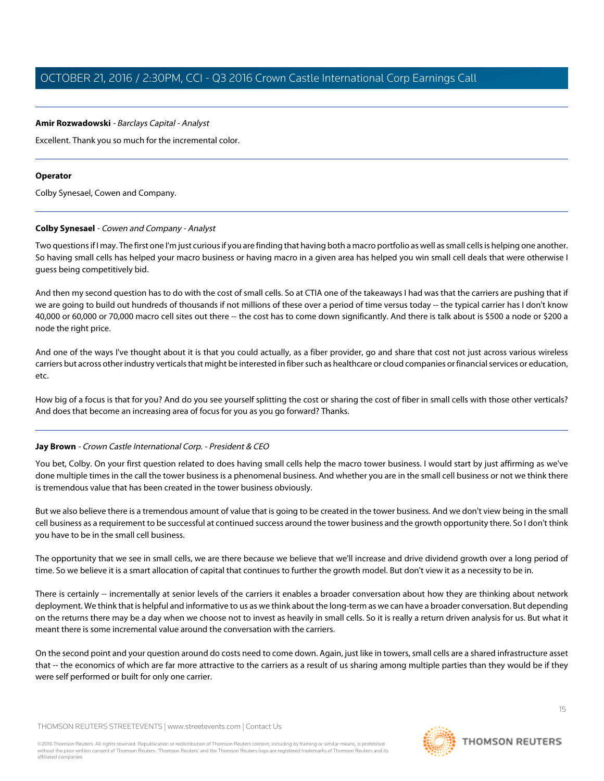## **Amir Rozwadowski** - Barclays Capital - Analyst

Excellent. Thank you so much for the incremental color.

## **Operator**

<span id="page-14-0"></span>Colby Synesael, Cowen and Company.

## **Colby Synesael** - Cowen and Company - Analyst

Two questions if I may. The first one I'm just curious if you are finding that having both a macro portfolio as well as small cells is helping one another. So having small cells has helped your macro business or having macro in a given area has helped you win small cell deals that were otherwise I guess being competitively bid.

And then my second question has to do with the cost of small cells. So at CTIA one of the takeaways I had was that the carriers are pushing that if we are going to build out hundreds of thousands if not millions of these over a period of time versus today -- the typical carrier has I don't know 40,000 or 60,000 or 70,000 macro cell sites out there -- the cost has to come down significantly. And there is talk about is \$500 a node or \$200 a node the right price.

And one of the ways I've thought about it is that you could actually, as a fiber provider, go and share that cost not just across various wireless carriers but across other industry verticals that might be interested in fiber such as healthcare or cloud companies or financial services or education, etc.

How big of a focus is that for you? And do you see yourself splitting the cost or sharing the cost of fiber in small cells with those other verticals? And does that become an increasing area of focus for you as you go forward? Thanks.

# **Jay Brown** - Crown Castle International Corp. - President & CEO

You bet, Colby. On your first question related to does having small cells help the macro tower business. I would start by just affirming as we've done multiple times in the call the tower business is a phenomenal business. And whether you are in the small cell business or not we think there is tremendous value that has been created in the tower business obviously.

But we also believe there is a tremendous amount of value that is going to be created in the tower business. And we don't view being in the small cell business as a requirement to be successful at continued success around the tower business and the growth opportunity there. So I don't think you have to be in the small cell business.

The opportunity that we see in small cells, we are there because we believe that we'll increase and drive dividend growth over a long period of time. So we believe it is a smart allocation of capital that continues to further the growth model. But don't view it as a necessity to be in.

There is certainly -- incrementally at senior levels of the carriers it enables a broader conversation about how they are thinking about network deployment. We think that is helpful and informative to us as we think about the long-term as we can have a broader conversation. But depending on the returns there may be a day when we choose not to invest as heavily in small cells. So it is really a return driven analysis for us. But what it meant there is some incremental value around the conversation with the carriers.

On the second point and your question around do costs need to come down. Again, just like in towers, small cells are a shared infrastructure asset that -- the economics of which are far more attractive to the carriers as a result of us sharing among multiple parties than they would be if they were self performed or built for only one carrier.

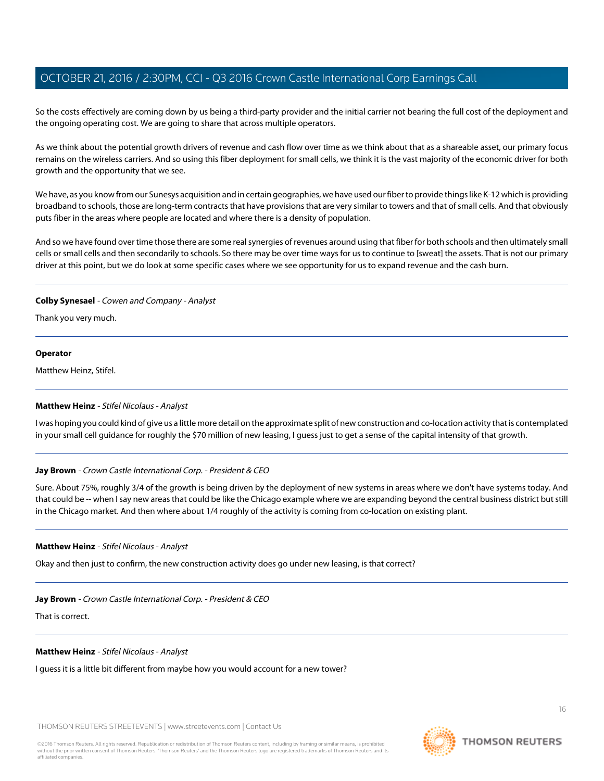So the costs effectively are coming down by us being a third-party provider and the initial carrier not bearing the full cost of the deployment and the ongoing operating cost. We are going to share that across multiple operators.

As we think about the potential growth drivers of revenue and cash flow over time as we think about that as a shareable asset, our primary focus remains on the wireless carriers. And so using this fiber deployment for small cells, we think it is the vast majority of the economic driver for both growth and the opportunity that we see.

We have, as you know from our Sunesys acquisition and in certain geographies, we have used our fiber to provide things like K-12 which is providing broadband to schools, those are long-term contracts that have provisions that are very similar to towers and that of small cells. And that obviously puts fiber in the areas where people are located and where there is a density of population.

And so we have found over time those there are some real synergies of revenues around using that fiber for both schools and then ultimately small cells or small cells and then secondarily to schools. So there may be over time ways for us to continue to [sweat] the assets. That is not our primary driver at this point, but we do look at some specific cases where we see opportunity for us to expand revenue and the cash burn.

## **Colby Synesael** - Cowen and Company - Analyst

Thank you very much.

#### **Operator**

<span id="page-15-0"></span>Matthew Heinz, Stifel.

#### **Matthew Heinz** - Stifel Nicolaus - Analyst

I was hoping you could kind of give us a little more detail on the approximate split of new construction and co-location activity that is contemplated in your small cell guidance for roughly the \$70 million of new leasing, I guess just to get a sense of the capital intensity of that growth.

# **Jay Brown** - Crown Castle International Corp. - President & CEO

Sure. About 75%, roughly 3/4 of the growth is being driven by the deployment of new systems in areas where we don't have systems today. And that could be -- when I say new areas that could be like the Chicago example where we are expanding beyond the central business district but still in the Chicago market. And then where about 1/4 roughly of the activity is coming from co-location on existing plant.

#### **Matthew Heinz** - Stifel Nicolaus - Analyst

Okay and then just to confirm, the new construction activity does go under new leasing, is that correct?

#### **Jay Brown** - Crown Castle International Corp. - President & CEO

That is correct.

#### **Matthew Heinz** - Stifel Nicolaus - Analyst

I guess it is a little bit different from maybe how you would account for a new tower?

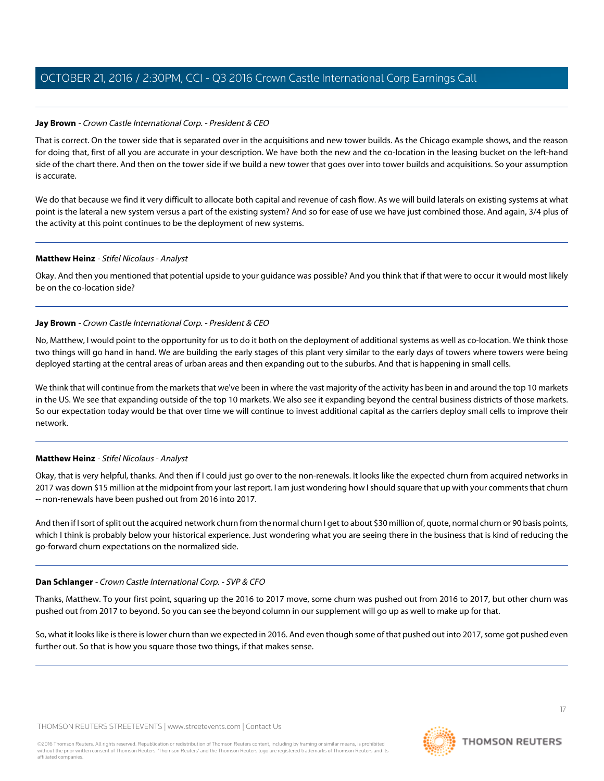# **Jay Brown** - Crown Castle International Corp. - President & CEO

That is correct. On the tower side that is separated over in the acquisitions and new tower builds. As the Chicago example shows, and the reason for doing that, first of all you are accurate in your description. We have both the new and the co-location in the leasing bucket on the left-hand side of the chart there. And then on the tower side if we build a new tower that goes over into tower builds and acquisitions. So your assumption is accurate.

We do that because we find it very difficult to allocate both capital and revenue of cash flow. As we will build laterals on existing systems at what point is the lateral a new system versus a part of the existing system? And so for ease of use we have just combined those. And again, 3/4 plus of the activity at this point continues to be the deployment of new systems.

# **Matthew Heinz** - Stifel Nicolaus - Analyst

Okay. And then you mentioned that potential upside to your guidance was possible? And you think that if that were to occur it would most likely be on the co-location side?

# **Jay Brown** - Crown Castle International Corp. - President & CEO

No, Matthew, I would point to the opportunity for us to do it both on the deployment of additional systems as well as co-location. We think those two things will go hand in hand. We are building the early stages of this plant very similar to the early days of towers where towers were being deployed starting at the central areas of urban areas and then expanding out to the suburbs. And that is happening in small cells.

We think that will continue from the markets that we've been in where the vast majority of the activity has been in and around the top 10 markets in the US. We see that expanding outside of the top 10 markets. We also see it expanding beyond the central business districts of those markets. So our expectation today would be that over time we will continue to invest additional capital as the carriers deploy small cells to improve their network.

# **Matthew Heinz** - Stifel Nicolaus - Analyst

Okay, that is very helpful, thanks. And then if I could just go over to the non-renewals. It looks like the expected churn from acquired networks in 2017 was down \$15 million at the midpoint from your last report. I am just wondering how I should square that up with your comments that churn -- non-renewals have been pushed out from 2016 into 2017.

And then if I sort of split out the acquired network churn from the normal churn I get to about \$30 million of, quote, normal churn or 90 basis points, which I think is probably below your historical experience. Just wondering what you are seeing there in the business that is kind of reducing the go-forward churn expectations on the normalized side.

# **Dan Schlanger** - Crown Castle International Corp. - SVP & CFO

Thanks, Matthew. To your first point, squaring up the 2016 to 2017 move, some churn was pushed out from 2016 to 2017, but other churn was pushed out from 2017 to beyond. So you can see the beyond column in our supplement will go up as well to make up for that.

So, what it looks like is there is lower churn than we expected in 2016. And even though some of that pushed out into 2017, some got pushed even further out. So that is how you square those two things, if that makes sense.

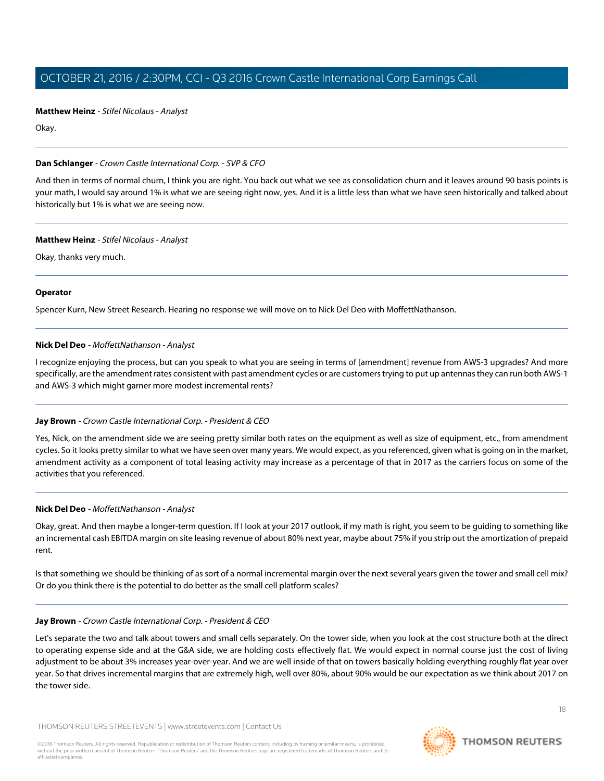**Matthew Heinz** - Stifel Nicolaus - Analyst

Okay.

#### **Dan Schlanger** - Crown Castle International Corp. - SVP & CFO

And then in terms of normal churn, I think you are right. You back out what we see as consolidation churn and it leaves around 90 basis points is your math, I would say around 1% is what we are seeing right now, yes. And it is a little less than what we have seen historically and talked about historically but 1% is what we are seeing now.

## **Matthew Heinz** - Stifel Nicolaus - Analyst

Okay, thanks very much.

#### **Operator**

<span id="page-17-0"></span>Spencer Kurn, New Street Research. Hearing no response we will move on to Nick Del Deo with MoffettNathanson.

## **Nick Del Deo** - MoffettNathanson - Analyst

I recognize enjoying the process, but can you speak to what you are seeing in terms of [amendment] revenue from AWS-3 upgrades? And more specifically, are the amendment rates consistent with past amendment cycles or are customers trying to put up antennas they can run both AWS-1 and AWS-3 which might garner more modest incremental rents?

# **Jay Brown** - Crown Castle International Corp. - President & CEO

Yes, Nick, on the amendment side we are seeing pretty similar both rates on the equipment as well as size of equipment, etc., from amendment cycles. So it looks pretty similar to what we have seen over many years. We would expect, as you referenced, given what is going on in the market, amendment activity as a component of total leasing activity may increase as a percentage of that in 2017 as the carriers focus on some of the activities that you referenced.

#### **Nick Del Deo** - MoffettNathanson - Analyst

Okay, great. And then maybe a longer-term question. If I look at your 2017 outlook, if my math is right, you seem to be guiding to something like an incremental cash EBITDA margin on site leasing revenue of about 80% next year, maybe about 75% if you strip out the amortization of prepaid rent.

Is that something we should be thinking of as sort of a normal incremental margin over the next several years given the tower and small cell mix? Or do you think there is the potential to do better as the small cell platform scales?

#### **Jay Brown** - Crown Castle International Corp. - President & CEO

Let's separate the two and talk about towers and small cells separately. On the tower side, when you look at the cost structure both at the direct to operating expense side and at the G&A side, we are holding costs effectively flat. We would expect in normal course just the cost of living adjustment to be about 3% increases year-over-year. And we are well inside of that on towers basically holding everything roughly flat year over year. So that drives incremental margins that are extremely high, well over 80%, about 90% would be our expectation as we think about 2017 on the tower side.

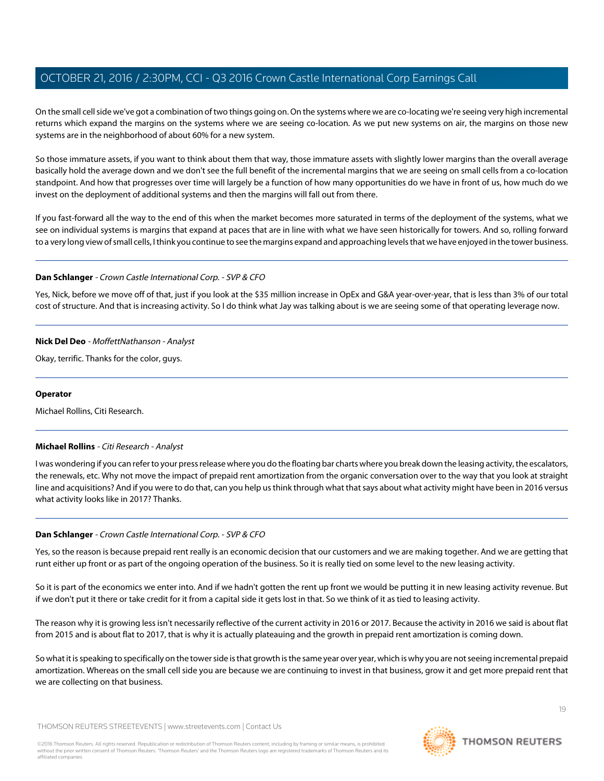On the small cell side we've got a combination of two things going on. On the systems where we are co-locating we're seeing very high incremental returns which expand the margins on the systems where we are seeing co-location. As we put new systems on air, the margins on those new systems are in the neighborhood of about 60% for a new system.

So those immature assets, if you want to think about them that way, those immature assets with slightly lower margins than the overall average basically hold the average down and we don't see the full benefit of the incremental margins that we are seeing on small cells from a co-location standpoint. And how that progresses over time will largely be a function of how many opportunities do we have in front of us, how much do we invest on the deployment of additional systems and then the margins will fall out from there.

If you fast-forward all the way to the end of this when the market becomes more saturated in terms of the deployment of the systems, what we see on individual systems is margins that expand at paces that are in line with what we have seen historically for towers. And so, rolling forward to a very long view of small cells, I think you continue to see the margins expand and approaching levels that we have enjoyed in the tower business.

## **Dan Schlanger** - Crown Castle International Corp. - SVP & CFO

Yes, Nick, before we move off of that, just if you look at the \$35 million increase in OpEx and G&A year-over-year, that is less than 3% of our total cost of structure. And that is increasing activity. So I do think what Jay was talking about is we are seeing some of that operating leverage now.

## **Nick Del Deo** - MoffettNathanson - Analyst

Okay, terrific. Thanks for the color, guys.

## **Operator**

<span id="page-18-0"></span>Michael Rollins, Citi Research.

#### **Michael Rollins** - Citi Research - Analyst

I was wondering if you can refer to your press release where you do the floating bar charts where you break down the leasing activity, the escalators, the renewals, etc. Why not move the impact of prepaid rent amortization from the organic conversation over to the way that you look at straight line and acquisitions? And if you were to do that, can you help us think through what that says about what activity might have been in 2016 versus what activity looks like in 2017? Thanks.

# **Dan Schlanger** - Crown Castle International Corp. - SVP & CFO

Yes, so the reason is because prepaid rent really is an economic decision that our customers and we are making together. And we are getting that runt either up front or as part of the ongoing operation of the business. So it is really tied on some level to the new leasing activity.

So it is part of the economics we enter into. And if we hadn't gotten the rent up front we would be putting it in new leasing activity revenue. But if we don't put it there or take credit for it from a capital side it gets lost in that. So we think of it as tied to leasing activity.

The reason why it is growing less isn't necessarily reflective of the current activity in 2016 or 2017. Because the activity in 2016 we said is about flat from 2015 and is about flat to 2017, that is why it is actually plateauing and the growth in prepaid rent amortization is coming down.

So what it is speaking to specifically on the tower side is that growth is the same year over year, which is why you are not seeing incremental prepaid amortization. Whereas on the small cell side you are because we are continuing to invest in that business, grow it and get more prepaid rent that we are collecting on that business.



**THOMSON REUTERS**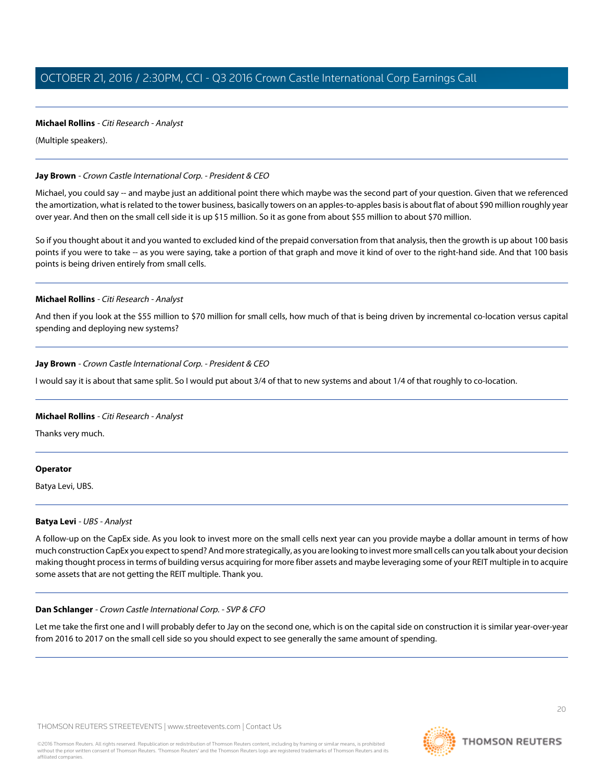# **Michael Rollins** - Citi Research - Analyst

(Multiple speakers).

## **Jay Brown** - Crown Castle International Corp. - President & CEO

Michael, you could say -- and maybe just an additional point there which maybe was the second part of your question. Given that we referenced the amortization, what is related to the tower business, basically towers on an apples-to-apples basis is about flat of about \$90 million roughly year over year. And then on the small cell side it is up \$15 million. So it as gone from about \$55 million to about \$70 million.

So if you thought about it and you wanted to excluded kind of the prepaid conversation from that analysis, then the growth is up about 100 basis points if you were to take -- as you were saying, take a portion of that graph and move it kind of over to the right-hand side. And that 100 basis points is being driven entirely from small cells.

## **Michael Rollins** - Citi Research - Analyst

And then if you look at the \$55 million to \$70 million for small cells, how much of that is being driven by incremental co-location versus capital spending and deploying new systems?

# **Jay Brown** - Crown Castle International Corp. - President & CEO

I would say it is about that same split. So I would put about 3/4 of that to new systems and about 1/4 of that roughly to co-location.

#### **Michael Rollins** - Citi Research - Analyst

Thanks very much.

#### <span id="page-19-0"></span>**Operator**

Batya Levi, UBS.

#### **Batya Levi** - UBS - Analyst

A follow-up on the CapEx side. As you look to invest more on the small cells next year can you provide maybe a dollar amount in terms of how much construction CapEx you expect to spend? And more strategically, as you are looking to invest more small cells can you talk about your decision making thought process in terms of building versus acquiring for more fiber assets and maybe leveraging some of your REIT multiple in to acquire some assets that are not getting the REIT multiple. Thank you.

#### **Dan Schlanger** - Crown Castle International Corp. - SVP & CFO

Let me take the first one and I will probably defer to Jay on the second one, which is on the capital side on construction it is similar year-over-year from 2016 to 2017 on the small cell side so you should expect to see generally the same amount of spending.

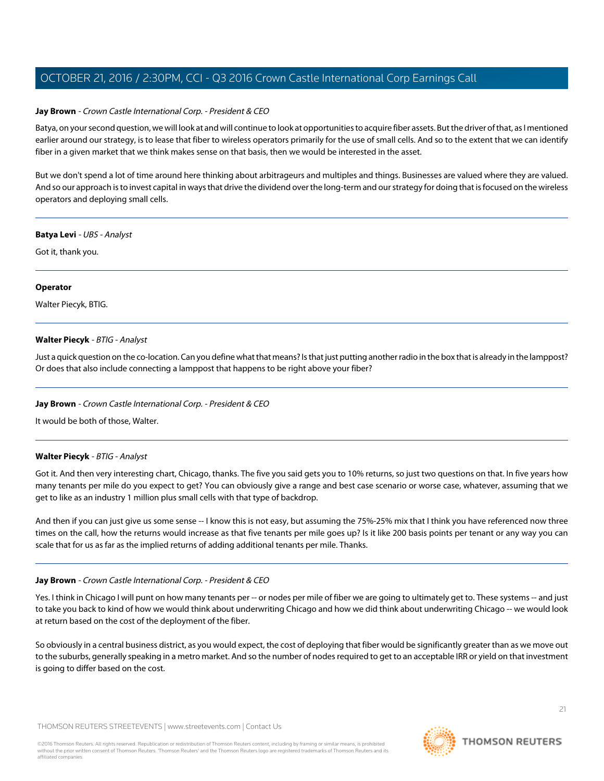## **Jay Brown** - Crown Castle International Corp. - President & CEO

Batya, on your second question, we will look at and will continue to look at opportunities to acquire fiber assets. But the driver of that, as I mentioned earlier around our strategy, is to lease that fiber to wireless operators primarily for the use of small cells. And so to the extent that we can identify fiber in a given market that we think makes sense on that basis, then we would be interested in the asset.

But we don't spend a lot of time around here thinking about arbitrageurs and multiples and things. Businesses are valued where they are valued. And so our approach is to invest capital in ways that drive the dividend over the long-term and our strategy for doing that is focused on the wireless operators and deploying small cells.

#### **Batya Levi** - UBS - Analyst

Got it, thank you.

#### **Operator**

<span id="page-20-0"></span>Walter Piecyk, BTIG.

## **Walter Piecyk** - BTIG - Analyst

Just a quick question on the co-location. Can you define what that means? Is that just putting another radio in the box that is already in the lamppost? Or does that also include connecting a lamppost that happens to be right above your fiber?

#### **Jay Brown** - Crown Castle International Corp. - President & CEO

It would be both of those, Walter.

#### **Walter Piecyk** - BTIG - Analyst

Got it. And then very interesting chart, Chicago, thanks. The five you said gets you to 10% returns, so just two questions on that. In five years how many tenants per mile do you expect to get? You can obviously give a range and best case scenario or worse case, whatever, assuming that we get to like as an industry 1 million plus small cells with that type of backdrop.

And then if you can just give us some sense -- I know this is not easy, but assuming the 75%-25% mix that I think you have referenced now three times on the call, how the returns would increase as that five tenants per mile goes up? Is it like 200 basis points per tenant or any way you can scale that for us as far as the implied returns of adding additional tenants per mile. Thanks.

#### **Jay Brown** - Crown Castle International Corp. - President & CEO

Yes. I think in Chicago I will punt on how many tenants per -- or nodes per mile of fiber we are going to ultimately get to. These systems -- and just to take you back to kind of how we would think about underwriting Chicago and how we did think about underwriting Chicago -- we would look at return based on the cost of the deployment of the fiber.

So obviously in a central business district, as you would expect, the cost of deploying that fiber would be significantly greater than as we move out to the suburbs, generally speaking in a metro market. And so the number of nodes required to get to an acceptable IRR or yield on that investment is going to differ based on the cost.

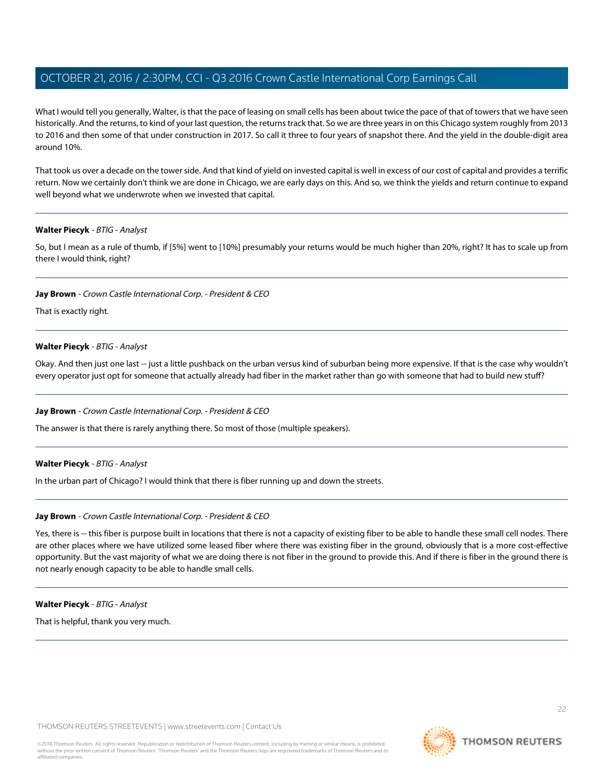What I would tell you generally, Walter, is that the pace of leasing on small cells has been about twice the pace of that of towers that we have seen historically. And the returns, to kind of your last question, the returns track that. So we are three years in on this Chicago system roughly from 2013 to 2016 and then some of that under construction in 2017. So call it three to four years of snapshot there. And the yield in the double-digit area around 10%.

That took us over a decade on the tower side. And that kind of yield on invested capital is well in excess of our cost of capital and provides a terrific return. Now we certainly don't think we are done in Chicago, we are early days on this. And so, we think the yields and return continue to expand well beyond what we underwrote when we invested that capital.

## **Walter Piecyk** - BTIG - Analyst

So, but I mean as a rule of thumb, if [5%] went to [10%] presumably your returns would be much higher than 20%, right? It has to scale up from there I would think, right?

#### **Jay Brown** - Crown Castle International Corp. - President & CEO

That is exactly right.

## **Walter Piecyk** - BTIG - Analyst

Okay. And then just one last -- just a little pushback on the urban versus kind of suburban being more expensive. If that is the case why wouldn't every operator just opt for someone that actually already had fiber in the market rather than go with someone that had to build new stuff?

#### **Jay Brown** - Crown Castle International Corp. - President & CEO

The answer is that there is rarely anything there. So most of those (multiple speakers).

#### **Walter Piecyk** - BTIG - Analyst

In the urban part of Chicago? I would think that there is fiber running up and down the streets.

#### **Jay Brown** - Crown Castle International Corp. - President & CEO

Yes, there is -- this fiber is purpose built in locations that there is not a capacity of existing fiber to be able to handle these small cell nodes. There are other places where we have utilized some leased fiber where there was existing fiber in the ground, obviously that is a more cost-effective opportunity. But the vast majority of what we are doing there is not fiber in the ground to provide this. And if there is fiber in the ground there is not nearly enough capacity to be able to handle small cells.

#### **Walter Piecyk** - BTIG - Analyst

That is helpful, thank you very much.

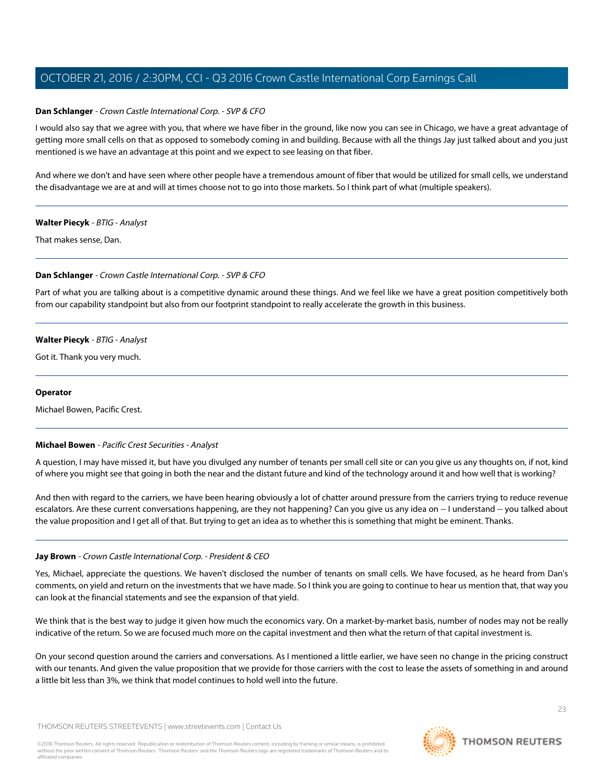# **Dan Schlanger** - Crown Castle International Corp. - SVP & CFO

I would also say that we agree with you, that where we have fiber in the ground, like now you can see in Chicago, we have a great advantage of getting more small cells on that as opposed to somebody coming in and building. Because with all the things Jay just talked about and you just mentioned is we have an advantage at this point and we expect to see leasing on that fiber.

And where we don't and have seen where other people have a tremendous amount of fiber that would be utilized for small cells, we understand the disadvantage we are at and will at times choose not to go into those markets. So I think part of what (multiple speakers).

# **Walter Piecyk** - BTIG - Analyst

That makes sense, Dan.

# **Dan Schlanger** - Crown Castle International Corp. - SVP & CFO

Part of what you are talking about is a competitive dynamic around these things. And we feel like we have a great position competitively both from our capability standpoint but also from our footprint standpoint to really accelerate the growth in this business.

# **Walter Piecyk** - BTIG - Analyst

Got it. Thank you very much.

## **Operator**

<span id="page-22-0"></span>Michael Bowen, Pacific Crest.

# **Michael Bowen** - Pacific Crest Securities - Analyst

A question, I may have missed it, but have you divulged any number of tenants per small cell site or can you give us any thoughts on, if not, kind of where you might see that going in both the near and the distant future and kind of the technology around it and how well that is working?

And then with regard to the carriers, we have been hearing obviously a lot of chatter around pressure from the carriers trying to reduce revenue escalators. Are these current conversations happening, are they not happening? Can you give us any idea on -- I understand -- you talked about the value proposition and I get all of that. But trying to get an idea as to whether this is something that might be eminent. Thanks.

# **Jay Brown** - Crown Castle International Corp. - President & CEO

Yes, Michael, appreciate the questions. We haven't disclosed the number of tenants on small cells. We have focused, as he heard from Dan's comments, on yield and return on the investments that we have made. So I think you are going to continue to hear us mention that, that way you can look at the financial statements and see the expansion of that yield.

We think that is the best way to judge it given how much the economics vary. On a market-by-market basis, number of nodes may not be really indicative of the return. So we are focused much more on the capital investment and then what the return of that capital investment is.

On your second question around the carriers and conversations. As I mentioned a little earlier, we have seen no change in the pricing construct with our tenants. And given the value proposition that we provide for those carriers with the cost to lease the assets of something in and around a little bit less than 3%, we think that model continues to hold well into the future.

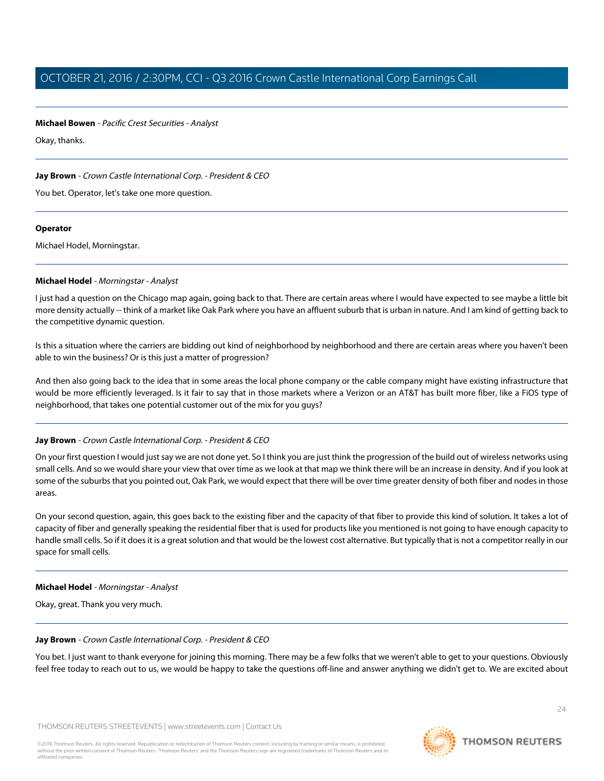#### **Michael Bowen** - Pacific Crest Securities - Analyst

Okay, thanks.

# **Jay Brown** - Crown Castle International Corp. - President & CEO

You bet. Operator, let's take one more question.

#### **Operator**

<span id="page-23-0"></span>Michael Hodel, Morningstar.

## **Michael Hodel** - Morningstar - Analyst

I just had a question on the Chicago map again, going back to that. There are certain areas where I would have expected to see maybe a little bit more density actually -- think of a market like Oak Park where you have an affluent suburb that is urban in nature. And I am kind of getting back to the competitive dynamic question.

Is this a situation where the carriers are bidding out kind of neighborhood by neighborhood and there are certain areas where you haven't been able to win the business? Or is this just a matter of progression?

And then also going back to the idea that in some areas the local phone company or the cable company might have existing infrastructure that would be more efficiently leveraged. Is it fair to say that in those markets where a Verizon or an AT&T has built more fiber, like a FiOS type of neighborhood, that takes one potential customer out of the mix for you guys?

# **Jay Brown** - Crown Castle International Corp. - President & CEO

On your first question I would just say we are not done yet. So I think you are just think the progression of the build out of wireless networks using small cells. And so we would share your view that over time as we look at that map we think there will be an increase in density. And if you look at some of the suburbs that you pointed out, Oak Park, we would expect that there will be over time greater density of both fiber and nodes in those areas.

On your second question, again, this goes back to the existing fiber and the capacity of that fiber to provide this kind of solution. It takes a lot of capacity of fiber and generally speaking the residential fiber that is used for products like you mentioned is not going to have enough capacity to handle small cells. So if it does it is a great solution and that would be the lowest cost alternative. But typically that is not a competitor really in our space for small cells.

#### **Michael Hodel** - Morningstar - Analyst

Okay, great. Thank you very much.

# **Jay Brown** - Crown Castle International Corp. - President & CEO

You bet. I just want to thank everyone for joining this morning. There may be a few folks that we weren't able to get to your questions. Obviously feel free today to reach out to us, we would be happy to take the questions off-line and answer anything we didn't get to. We are excited about